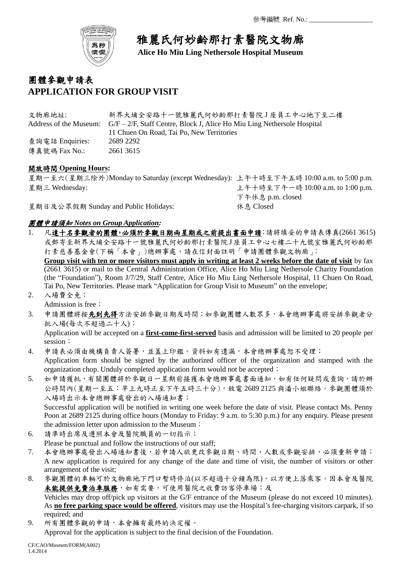

雅麗氏何妙齡那打素醫院文物廊

**Alice Ho Miu Ling Nethersole Hospital Museum**

## 團體參觀申請表 **APPLICATION FOR GROUP VISIT**

| 文物廊地址:                 | 新界大埔全安路十一號雅麗氏何妙齡那打素醫院J座員工中心地下至二樓                                         |
|------------------------|--------------------------------------------------------------------------|
| Address of the Museum: | $G/F-2/F$ , Staff Centre, Block J, Alice Ho Miu Ling Nethersole Hospital |
|                        | 11 Chuen On Road. Tai Po. New Territories                                |
| 查詢電話 Enquiries:        | 2689 2292                                                                |
| 傳真號碼 Fax No.:          | 2661 3615                                                                |

## 開放時間 **Opening Hours:**

星期一至六(星期三除外)Monday to Saturday (except Wednesday): 上午十時至下午五時 10:00 a.m. to 5:00 p.m. 星期三 Wednesday: 上午十時至下午一時 10:00 a.m. to 1:00 p.m. 下午休息 p.m. closed

星期日及公眾假期 Sunday and Public Holidays: 休息 Closed

## 團體申請須知 *Notes on Group Application:*

1. 凡達十名參觀者的團體,必須於參觀日期兩星期或之前提出書面申請;請將填妥的申請表傳真(2661 3615) 或郵寄至新界大埔全安路十一號雅麗氏何妙齡那打素醫院 J 座員工中心七樓二十九號室雅麗氏何妙齡那 打素慈善基金會(下稱「本會」)總辦事處,請在信封面註明「申請團體參觀文物廊」; **Group visit with ten or more visitors must apply in writing at least 2 weeks before the date of visit** by fax

(2661 3615) or mail to the Central Administration Office, Alice Ho Miu Ling Nethersole Charity Foundation (the "Foundation"), Room J/7/29, Staff Centre, Alice Ho Miu Ling Nethersole Hospital, 11 Chuen On Road, Tai Po, New Territories. Please mark "Application for Group Visit to Museum" on the envelope;

- 2. 入場費全免; Admission is free;
- 3. 申請團體將按先到先得方法安排參觀日期及時間;如參觀團體人數眾多,本會總辦事處將安排參觀者分 批入場(每次不超過二十人);

Application will be accepted on a **first-come-first-served** basis and admission will be limited to 20 people per session;

- 4. 申請表必須由機構負責人簽署,並蓋上印鑑。資料如有遺漏,本會總辦事處恕不受理; Application form should be signed by the authorized officer of the organization and stamped with the organization chop. Unduly completed application form would not be accepted;
- 5. 如申請獲批,有關團體將於參觀日一星期前接獲本會總辦事處書面通知,如有任何疑問或查詢,請於辦 公時間內(星期一至五:早上九時正至下午五時三十分),致電 2689 2125 與潘小姐聯絡。參觀團體須於 入場時出示本會總辦事處發出的入場通知書;

Successful application will be notified in writing one week before the date of visit. Please contact Ms. Penny Poon at 2689 2125 during office hours (Monday to Friday: 9 a.m. to 5:30 p.m.) for any enquiry. Please present the admission letter upon admission to the Museum;

- 6. 請準時出席及遵照本會及醫院職員的一切指示; Please be punctual and follow the instructions of our staff;
- 7. 本會總辦事處發出入場通知書後,若申請人欲更改參觀日期、時間、人數或參觀安排,必須重新申請; A new application is required for any change of the date and time of visit, the number of visitors or other arrangement of the visit;
- 8. 參觀團體的車輛可於文物廊地下門口暫時停泊(以不超過十分鐘為限),以方便上落乘客。因本會及醫院 未能提供免費泊車服務,如有需要,可使用醫院之收費訪客停車場;及 Vehicles may drop off/pick up visitors at the G/F entrance of the Museum (please do not exceed 10 minutes). As **no free parking space would be offered**, visitors may use the Hospital's fee-charging visitors carpark, if so required; and

9. 所有團體參觀的申請,本會擁有最終的決定權。 Approval for the application is subject to the final decision of the Foundation.